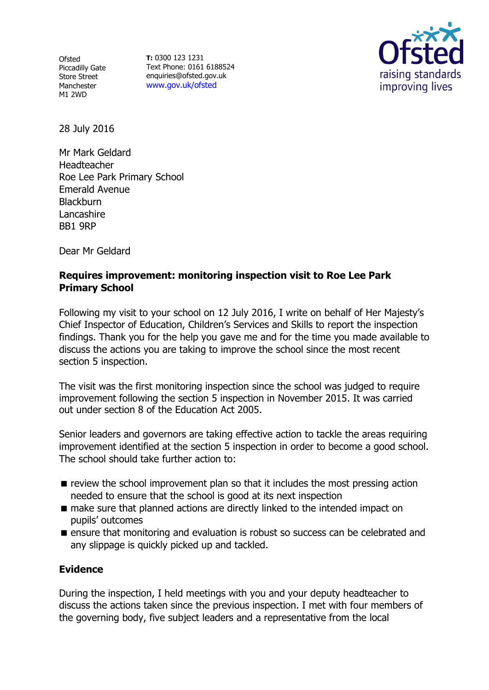**Ofsted** Piccadilly Gate Store Street Manchester M1 2WD

**T:** 0300 123 1231 Text Phone: 0161 6188524 enquiries@ofsted.gov.uk [www.gov.uk/ofsted](http://www.gov.uk/ofsted)



28 July 2016

Mr Mark Geldard Headteacher Roe Lee Park Primary School Emerald Avenue **Blackburn** Lancashire BB1 9RP

Dear Mr Geldard

## **Requires improvement: monitoring inspection visit to Roe Lee Park Primary School**

Following my visit to your school on 12 July 2016, I write on behalf of Her Majesty's Chief Inspector of Education, Children's Services and Skills to report the inspection findings. Thank you for the help you gave me and for the time you made available to discuss the actions you are taking to improve the school since the most recent section 5 inspection.

The visit was the first monitoring inspection since the school was judged to require improvement following the section 5 inspection in November 2015. It was carried out under section 8 of the Education Act 2005.

Senior leaders and governors are taking effective action to tackle the areas requiring improvement identified at the section 5 inspection in order to become a good school. The school should take further action to:

- $\blacksquare$  review the school improvement plan so that it includes the most pressing action needed to ensure that the school is good at its next inspection
- make sure that planned actions are directly linked to the intended impact on pupils' outcomes
- **Example 1** ensure that monitoring and evaluation is robust so success can be celebrated and any slippage is quickly picked up and tackled.

### **Evidence**

During the inspection, I held meetings with you and your deputy headteacher to discuss the actions taken since the previous inspection. I met with four members of the governing body, five subject leaders and a representative from the local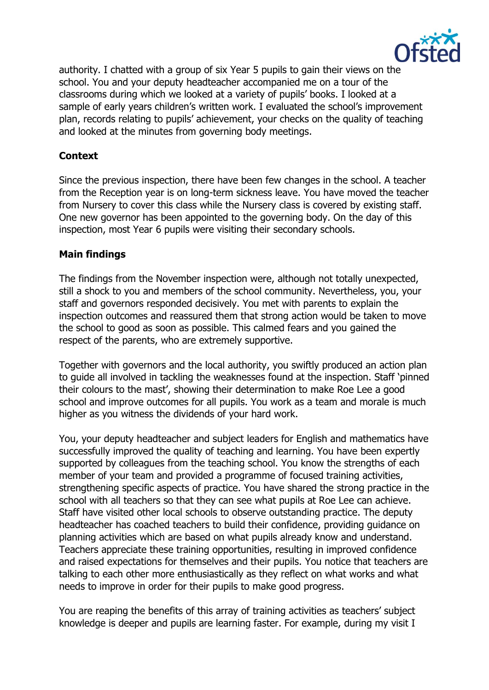

authority. I chatted with a group of six Year 5 pupils to gain their views on the school. You and your deputy headteacher accompanied me on a tour of the classrooms during which we looked at a variety of pupils' books. I looked at a sample of early years children's written work. I evaluated the school's improvement plan, records relating to pupils' achievement, your checks on the quality of teaching and looked at the minutes from governing body meetings.

### **Context**

Since the previous inspection, there have been few changes in the school. A teacher from the Reception year is on long-term sickness leave. You have moved the teacher from Nursery to cover this class while the Nursery class is covered by existing staff. One new governor has been appointed to the governing body. On the day of this inspection, most Year 6 pupils were visiting their secondary schools.

# **Main findings**

The findings from the November inspection were, although not totally unexpected, still a shock to you and members of the school community. Nevertheless, you, your staff and governors responded decisively. You met with parents to explain the inspection outcomes and reassured them that strong action would be taken to move the school to good as soon as possible. This calmed fears and you gained the respect of the parents, who are extremely supportive.

Together with governors and the local authority, you swiftly produced an action plan to guide all involved in tackling the weaknesses found at the inspection. Staff 'pinned their colours to the mast', showing their determination to make Roe Lee a good school and improve outcomes for all pupils. You work as a team and morale is much higher as you witness the dividends of your hard work.

You, your deputy headteacher and subject leaders for English and mathematics have successfully improved the quality of teaching and learning. You have been expertly supported by colleagues from the teaching school. You know the strengths of each member of your team and provided a programme of focused training activities, strengthening specific aspects of practice. You have shared the strong practice in the school with all teachers so that they can see what pupils at Roe Lee can achieve. Staff have visited other local schools to observe outstanding practice. The deputy headteacher has coached teachers to build their confidence, providing guidance on planning activities which are based on what pupils already know and understand. Teachers appreciate these training opportunities, resulting in improved confidence and raised expectations for themselves and their pupils. You notice that teachers are talking to each other more enthusiastically as they reflect on what works and what needs to improve in order for their pupils to make good progress.

You are reaping the benefits of this array of training activities as teachers' subject knowledge is deeper and pupils are learning faster. For example, during my visit I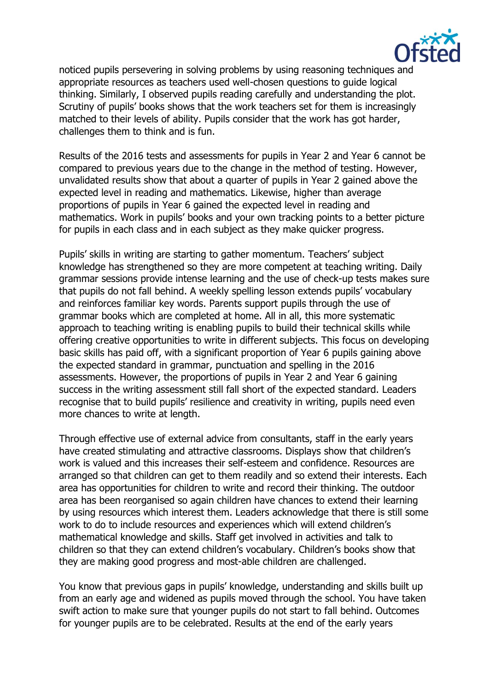

noticed pupils persevering in solving problems by using reasoning techniques and appropriate resources as teachers used well-chosen questions to guide logical thinking. Similarly, I observed pupils reading carefully and understanding the plot. Scrutiny of pupils' books shows that the work teachers set for them is increasingly matched to their levels of ability. Pupils consider that the work has got harder, challenges them to think and is fun.

Results of the 2016 tests and assessments for pupils in Year 2 and Year 6 cannot be compared to previous years due to the change in the method of testing. However, unvalidated results show that about a quarter of pupils in Year 2 gained above the expected level in reading and mathematics. Likewise, higher than average proportions of pupils in Year 6 gained the expected level in reading and mathematics. Work in pupils' books and your own tracking points to a better picture for pupils in each class and in each subject as they make quicker progress.

Pupils' skills in writing are starting to gather momentum. Teachers' subject knowledge has strengthened so they are more competent at teaching writing. Daily grammar sessions provide intense learning and the use of check-up tests makes sure that pupils do not fall behind. A weekly spelling lesson extends pupils' vocabulary and reinforces familiar key words. Parents support pupils through the use of grammar books which are completed at home. All in all, this more systematic approach to teaching writing is enabling pupils to build their technical skills while offering creative opportunities to write in different subjects. This focus on developing basic skills has paid off, with a significant proportion of Year 6 pupils gaining above the expected standard in grammar, punctuation and spelling in the 2016 assessments. However, the proportions of pupils in Year 2 and Year 6 gaining success in the writing assessment still fall short of the expected standard. Leaders recognise that to build pupils' resilience and creativity in writing, pupils need even more chances to write at length.

Through effective use of external advice from consultants, staff in the early years have created stimulating and attractive classrooms. Displays show that children's work is valued and this increases their self-esteem and confidence. Resources are arranged so that children can get to them readily and so extend their interests. Each area has opportunities for children to write and record their thinking. The outdoor area has been reorganised so again children have chances to extend their learning by using resources which interest them. Leaders acknowledge that there is still some work to do to include resources and experiences which will extend children's mathematical knowledge and skills. Staff get involved in activities and talk to children so that they can extend children's vocabulary. Children's books show that they are making good progress and most-able children are challenged.

You know that previous gaps in pupils' knowledge, understanding and skills built up from an early age and widened as pupils moved through the school. You have taken swift action to make sure that younger pupils do not start to fall behind. Outcomes for younger pupils are to be celebrated. Results at the end of the early years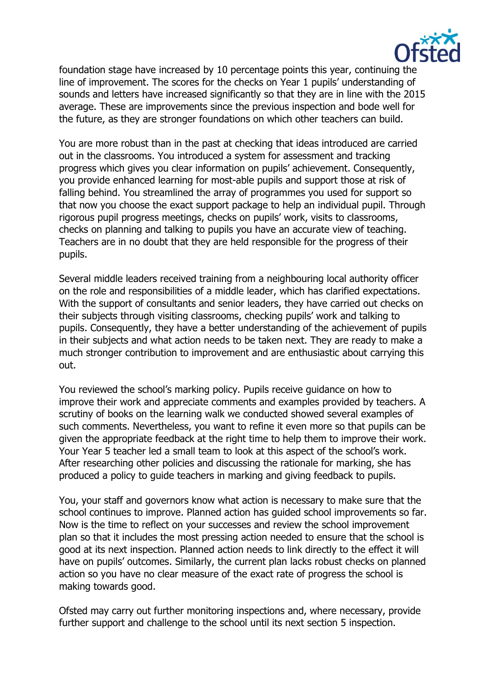

foundation stage have increased by 10 percentage points this year, continuing the line of improvement. The scores for the checks on Year 1 pupils' understanding of sounds and letters have increased significantly so that they are in line with the 2015 average. These are improvements since the previous inspection and bode well for the future, as they are stronger foundations on which other teachers can build.

You are more robust than in the past at checking that ideas introduced are carried out in the classrooms. You introduced a system for assessment and tracking progress which gives you clear information on pupils' achievement. Consequently, you provide enhanced learning for most-able pupils and support those at risk of falling behind. You streamlined the array of programmes you used for support so that now you choose the exact support package to help an individual pupil. Through rigorous pupil progress meetings, checks on pupils' work, visits to classrooms, checks on planning and talking to pupils you have an accurate view of teaching. Teachers are in no doubt that they are held responsible for the progress of their pupils.

Several middle leaders received training from a neighbouring local authority officer on the role and responsibilities of a middle leader, which has clarified expectations. With the support of consultants and senior leaders, they have carried out checks on their subjects through visiting classrooms, checking pupils' work and talking to pupils. Consequently, they have a better understanding of the achievement of pupils in their subjects and what action needs to be taken next. They are ready to make a much stronger contribution to improvement and are enthusiastic about carrying this out.

You reviewed the school's marking policy. Pupils receive guidance on how to improve their work and appreciate comments and examples provided by teachers. A scrutiny of books on the learning walk we conducted showed several examples of such comments. Nevertheless, you want to refine it even more so that pupils can be given the appropriate feedback at the right time to help them to improve their work. Your Year 5 teacher led a small team to look at this aspect of the school's work. After researching other policies and discussing the rationale for marking, she has produced a policy to guide teachers in marking and giving feedback to pupils.

You, your staff and governors know what action is necessary to make sure that the school continues to improve. Planned action has guided school improvements so far. Now is the time to reflect on your successes and review the school improvement plan so that it includes the most pressing action needed to ensure that the school is good at its next inspection. Planned action needs to link directly to the effect it will have on pupils' outcomes. Similarly, the current plan lacks robust checks on planned action so you have no clear measure of the exact rate of progress the school is making towards good.

Ofsted may carry out further monitoring inspections and, where necessary, provide further support and challenge to the school until its next section 5 inspection.